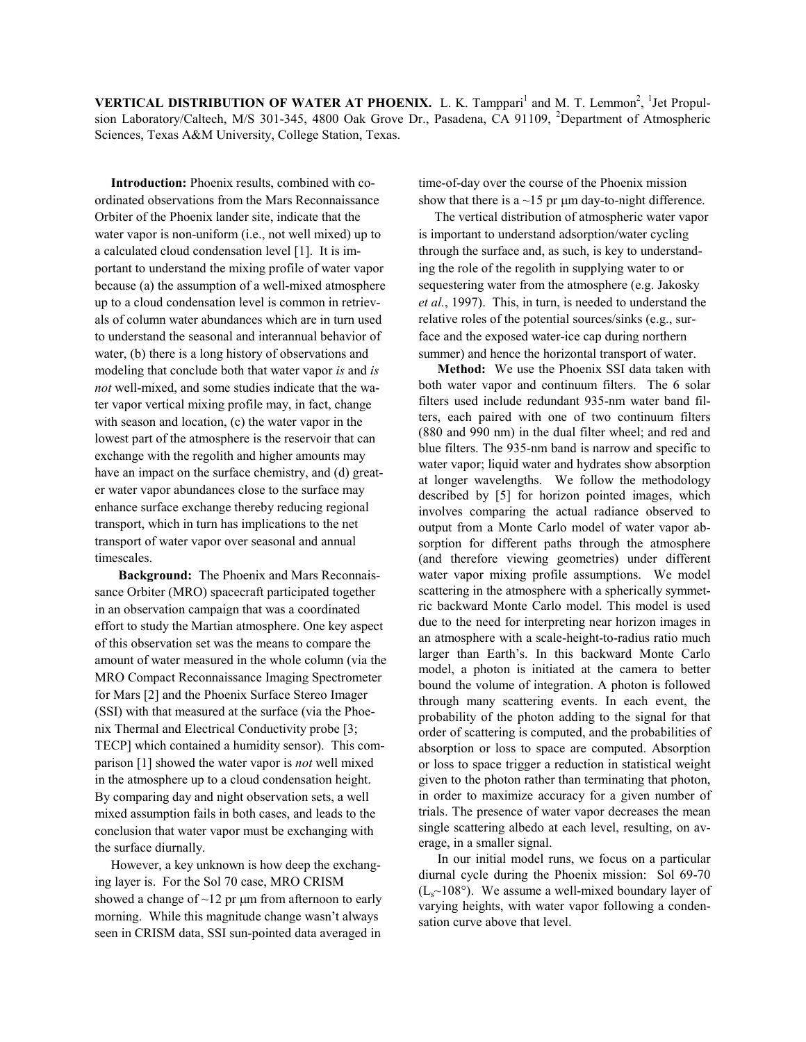**VERTICAL DISTRIBUTION OF WATER AT PHOENIX.** L. K. Tamppari<sup>1</sup> and M. T. Lemmon<sup>2</sup>, <sup>1</sup>Jet Propulsion Laboratory/Caltech, M/S 301-345, 4800 Oak Grove Dr., Pasadena, CA 91109, <sup>2</sup>Department of Atmospheric Sciences, Texas A&M University, College Station, Texas.

**Introduction:** Phoenix results, combined with coordinated observations from the Mars Reconnaissance Orbiter of the Phoenix lander site, indicate that the water vapor is non-uniform (i.e., not well mixed) up to a calculated cloud condensation level [1]. It is important to understand the mixing profile of water vapor because (a) the assumption of a well-mixed atmosphere up to a cloud condensation level is common in retrievals of column water abundances which are in turn used to understand the seasonal and interannual behavior of water, (b) there is a long history of observations and modeling that conclude both that water vapor *is* and *is not* well-mixed, and some studies indicate that the water vapor vertical mixing profile may, in fact, change with season and location, (c) the water vapor in the lowest part of the atmosphere is the reservoir that can exchange with the regolith and higher amounts may have an impact on the surface chemistry, and (d) greater water vapor abundances close to the surface may enhance surface exchange thereby reducing regional transport, which in turn has implications to the net transport of water vapor over seasonal and annual timescales.

**Background:** The Phoenix and Mars Reconnaissance Orbiter (MRO) spacecraft participated together in an observation campaign that was a coordinated effort to study the Martian atmosphere. One key aspect of this observation set was the means to compare the amount of water measured in the whole column (via the MRO Compact Reconnaissance Imaging Spectrometer for Mars [2] and the Phoenix Surface Stereo Imager (SSI) with that measured at the surface (via the Phoenix Thermal and Electrical Conductivity probe [3; TECP] which contained a humidity sensor). This comparison [1] showed the water vapor is *not* well mixed in the atmosphere up to a cloud condensation height. By comparing day and night observation sets, a well mixed assumption fails in both cases, and leads to the conclusion that water vapor must be exchanging with the surface diurnally.

However, a key unknown is how deep the exchanging layer is. For the Sol 70 case, MRO CRISM showed a change of  $\sim$ 12 pr  $\mu$ m from afternoon to early morning. While this magnitude change wasn't always seen in CRISM data, SSI sun-pointed data averaged in

time-of-day over the course of the Phoenix mission show that there is a  $\sim$ 15 pr  $\mu$ m day-to-night difference.

The vertical distribution of atmospheric water vapor is important to understand adsorption/water cycling through the surface and, as such, is key to understanding the role of the regolith in supplying water to or sequestering water from the atmosphere (e.g. Jakosky *et al.*, 1997). This, in turn, is needed to understand the relative roles of the potential sources/sinks (e.g., surface and the exposed water-ice cap during northern summer) and hence the horizontal transport of water.

**Method:** We use the Phoenix SSI data taken with both water vapor and continuum filters. The 6 solar filters used include redundant 935-nm water band filters, each paired with one of two continuum filters (880 and 990 nm) in the dual filter wheel; and red and blue filters. The 935-nm band is narrow and specific to water vapor; liquid water and hydrates show absorption at longer wavelengths. We follow the methodology described by [5] for horizon pointed images, which involves comparing the actual radiance observed to output from a Monte Carlo model of water vapor absorption for different paths through the atmosphere (and therefore viewing geometries) under different water vapor mixing profile assumptions. We model scattering in the atmosphere with a spherically symmetric backward Monte Carlo model. This model is used due to the need for interpreting near horizon images in an atmosphere with a scale-height-to-radius ratio much larger than Earth's. In this backward Monte Carlo model, a photon is initiated at the camera to better bound the volume of integration. A photon is followed through many scattering events. In each event, the probability of the photon adding to the signal for that order of scattering is computed, and the probabilities of absorption or loss to space are computed. Absorption or loss to space trigger a reduction in statistical weight given to the photon rather than terminating that photon, in order to maximize accuracy for a given number of trials. The presence of water vapor decreases the mean single scattering albedo at each level, resulting, on average, in a smaller signal.

In our initial model runs, we focus on a particular diurnal cycle during the Phoenix mission: Sol 69-70  $(L<sub>s</sub>~108°)$ . We assume a well-mixed boundary layer of varying heights, with water vapor following a condensation curve above that level.